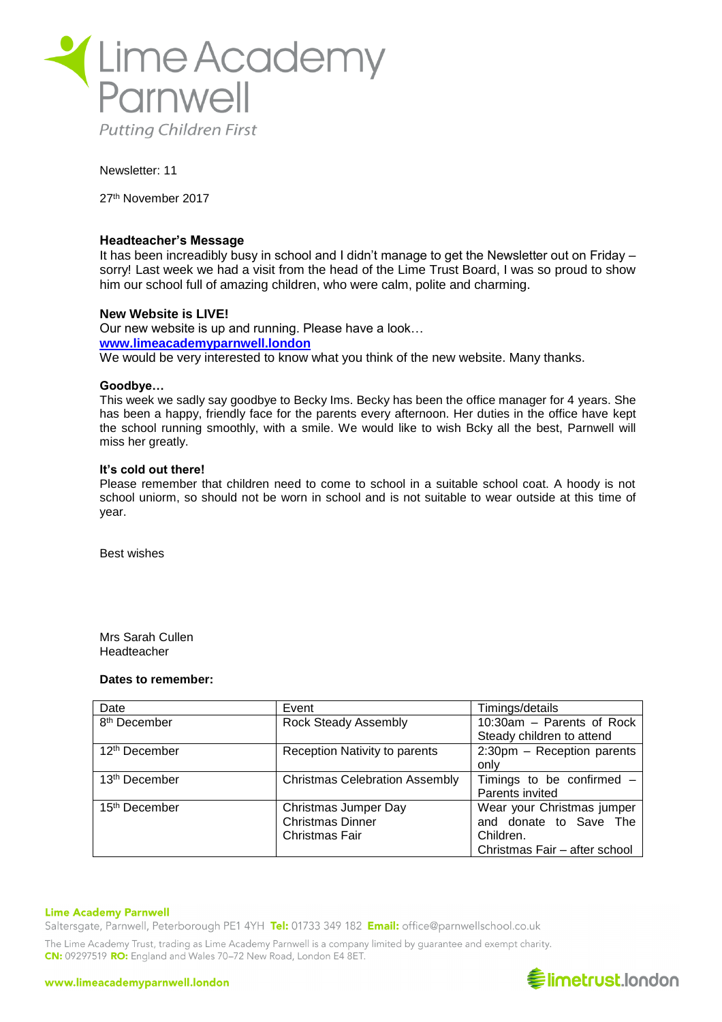

Newsletter: 11

27th November 2017

## **Headteacher's Message**

It has been increadibly busy in school and I didn't manage to get the Newsletter out on Friday – sorry! Last week we had a visit from the head of the Lime Trust Board, I was so proud to show him our school full of amazing children, who were calm, polite and charming.

## **New Website is LIVE!**

Our new website is up and running. Please have a look… **[www.limeacademyparnwell.london](http://www.limeacademyparnwell.london/)** We would be very interested to know what you think of the new website. Many thanks.

# **Goodbye…**

This week we sadly say goodbye to Becky Ims. Becky has been the office manager for 4 years. She has been a happy, friendly face for the parents every afternoon. Her duties in the office have kept the school running smoothly, with a smile. We would like to wish Bcky all the best, Parnwell will miss her greatly.

### **It's cold out there!**

Please remember that children need to come to school in a suitable school coat. A hoody is not school uniorm, so should not be worn in school and is not suitable to wear outside at this time of year.

Best wishes

Mrs Sarah Cullen Headteacher

### **Dates to remember:**

| Date                      | Event                                 | Timings/details               |
|---------------------------|---------------------------------------|-------------------------------|
| 8 <sup>th</sup> December  | <b>Rock Steady Assembly</b>           | 10:30am - Parents of Rock     |
|                           |                                       | Steady children to attend     |
| 12 <sup>th</sup> December | Reception Nativity to parents         | 2:30pm - Reception parents    |
|                           |                                       | only                          |
| 13 <sup>th</sup> December | <b>Christmas Celebration Assembly</b> | Timings to be confirmed $-$   |
|                           |                                       | Parents invited               |
| 15 <sup>th</sup> December | Christmas Jumper Day                  | Wear your Christmas jumper    |
|                           | <b>Christmas Dinner</b>               | and donate to Save The        |
|                           | Christmas Fair                        | Children.                     |
|                           |                                       | Christmas Fair - after school |

### **Lime Academy Parnwell**

Saltersgate, Parnwell, Peterborough PE1 4YH Tel: 01733 349 182 Email: office@parnwellschool.co.uk

The Lime Academy Trust, trading as Lime Academy Parnwell is a company limited by guarantee and exempt charity. CN: 09297519 RO: England and Wales 70-72 New Road, London E4 8ET.

### www.limeacademyparnwell.london